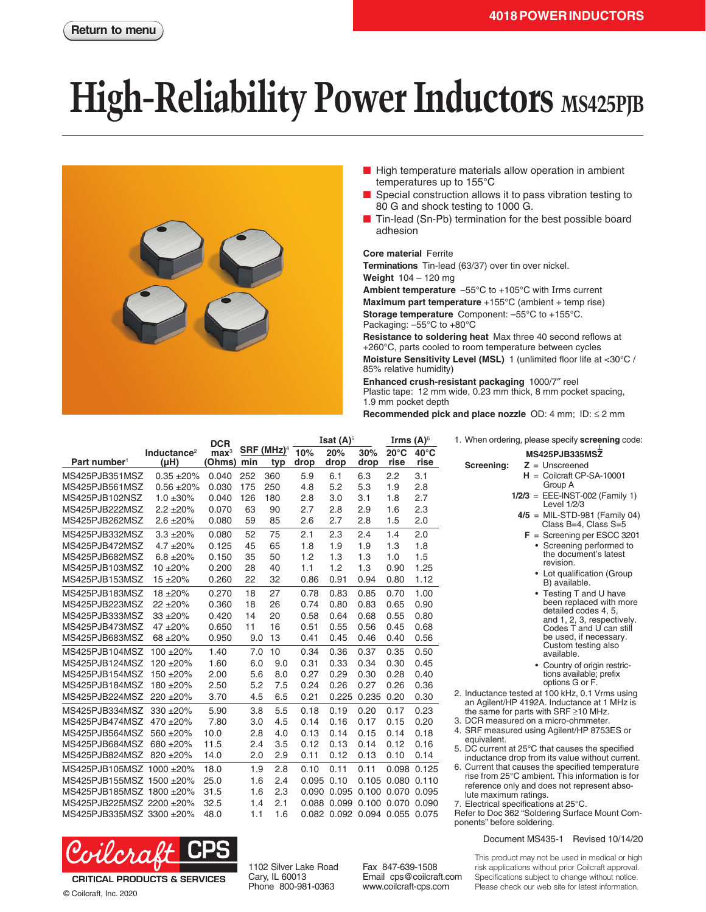## **High-Reliability Power Inductors** MS425PJB



- High temperature materials allow operation in ambient temperatures up to 155°C
- Special construction allows it to pass vibration testing to 80 G and shock testing to 1000 G.
- Tin-lead (Sn-Pb) termination for the best possible board adhesion

## **Core material** Ferrite

**Terminations** Tin-lead (63/37) over tin over nickel. **Weight** 104 – 120 mg

**Ambient temperature** –55°C to +105°C with Irms current **Maximum part temperature** +155°C (ambient + temp rise) **Storage temperature** Component: –55°C to +155°C. Packaging: –55°C to +80°C

**Resistance to soldering heat** Max three 40 second reflows at +260°C, parts cooled to room temperature between cycles **Moisture Sensitivity Level (MSL)** 1 (unlimited floor life at <30°C / 85% relative humidity)

**Enhanced crush-resistant packaging** 1000/7″ reel Plastic tape: 12 mm wide, 0.23 mm thick, 8 mm pocket spacing, 1.9 mm pocket depth

**Recommended pick and place nozzle** OD: 4 mm; ID: ≤ 2 mm

|                          |                         | <b>DCR</b><br>SRF (MHz) <sup>4</sup> |     | <b>Isat <math>(A)^5</math></b> |            |                               | Irms $(A)^\circ$ |                   | 1. When ordering, please specify screening code: |                                                                                                |
|--------------------------|-------------------------|--------------------------------------|-----|--------------------------------|------------|-------------------------------|------------------|-------------------|--------------------------------------------------|------------------------------------------------------------------------------------------------|
|                          | Inductance <sup>2</sup> | $\mathbf{max}^3$                     |     |                                | 10%        | 20%                           | 30%              | $20^{\circ}$ C    | $40^{\circ}$ C                                   | MS425PJB335MSZ                                                                                 |
| Part number <sup>1</sup> | $(\mu H)$               | <b>Ohms)</b>                         | min | typ                            | drop       | drop                          | drop             | rise              | rise                                             | Screening:<br>$Z =$ Unscreened                                                                 |
| MS425PJB351MSZ           | $0.35 + 20%$            | 0.040                                | 252 | 360                            | 5.9        | 6.1                           | 6.3              | 2.2               | 3.1                                              | $H =$ Coilcraft CP-SA-10001                                                                    |
| MS425PJB561MSZ           | $0.56 + 20%$            | 0.030                                | 175 | 250                            | 4.8        | 5.2                           | 5.3              | 1.9               | 2.8                                              | Group A                                                                                        |
| MS425PJB102NSZ           | $1.0 \pm 30\%$          | 0.040                                | 126 | 180                            | 2.8        | 3.0                           | 3.1              | 1.8               | 2.7                                              | $1/2/3$ = EEE-INST-002 (Family 1)<br>Level 1/2/3                                               |
| MS425PJB222MSZ           | $2.2 \pm 20\%$          | 0.070                                | 63  | 90                             | 2.7        | 2.8                           | 2.9              | 1.6               | 2.3                                              | $4/5$ = MIL-STD-981 (Family 04)                                                                |
| MS425PJB262MSZ           | $2.6 \pm 20\%$          | 0.080                                | 59  | 85                             | 2.6        | 2.7                           | 2.8              | 1.5               | 2.0                                              | Class B=4, Class S=5                                                                           |
| MS425PJB332MSZ           | $3.3 + 20%$             | 0.080                                | 52  | 75                             | 2.1        | 2.3                           | 2.4              | 1.4               | 2.0                                              | $F =$ Screening per ESCC 3201                                                                  |
| MS425PJB472MSZ           | $4.7 \pm 20\%$          | 0.125                                | 45  | 65                             | 1.8        | 1.9                           | 1.9              | 1.3               | 1.8                                              | • Screening performed to                                                                       |
| MS425PJB682MSZ           | $6.8 \pm 20\%$          | 0.150                                | 35  | 50                             | 1.2        | 1.3                           | 1.3              | 1.0               | 1.5                                              | the document's latest<br>revision.                                                             |
| MS425PJB103MSZ           | $10 + 20%$              | 0.200                                | 28  | 40                             | 1.1        | 1.2                           | 1.3              | 0.90              | 1.25                                             | • Lot qualification (Group                                                                     |
| MS425PJB153MSZ           | $15 + 20%$              | 0.260                                | 22  | 32                             | 0.86       | 0.91                          | 0.94             | 0.80              | 1.12                                             | B) available.                                                                                  |
| MS425PJB183MSZ           | $18 + 20%$              | 0.270                                | 18  | 27                             | 0.78       | 0.83                          | 0.85             | 0.70              | 1.00                                             | • Testing T and U have                                                                         |
| MS425PJB223MSZ           | $22 + 20%$              | 0.360                                | 18  | 26                             | 0.74       | 0.80                          | 0.83             | 0.65              | 0.90                                             | been replaced with more<br>detailed codes 4, 5,                                                |
| MS425PJB333MSZ           | $33 + 20%$              | 0.420                                | 14  | 20                             | 0.58       | 0.64                          | 0.68             | 0.55              | 0.80                                             | and 1, 2, 3, respectively.                                                                     |
| MS425PJB473MSZ           | $47 + 20%$              | 0.650                                | 11  | 16                             | 0.51       | 0.55                          | 0.56             | 0.45              | 0.68                                             | Codes T and U can still                                                                        |
| MS425PJB683MSZ           | 68 ±20%                 | 0.950                                | 9.0 | 13                             | 0.41       | 0.45                          | 0.46             | 0.40              | 0.56                                             | be used, if necessary.<br>Custom testing also                                                  |
| MS425PJB104MSZ 100 ±20%  |                         | 1.40                                 | 7.0 | 10                             | 0.34       | 0.36                          | 0.37             | 0.35              | 0.50                                             | available.                                                                                     |
| MS425PJB124MSZ 120 ±20%  |                         | 1.60                                 | 6.0 | 9.0                            | 0.31       | 0.33                          | 0.34             | 0.30              | 0.45                                             | • Country of origin restric-                                                                   |
| MS425PJB154MSZ 150 ±20%  |                         | 2.00                                 | 5.6 | 8.0                            | 0.27       | 0.29                          | 0.30             | 0.28              | 0.40                                             | tions available; prefix                                                                        |
| MS425PJB184MSZ 180 ±20%  |                         | 2.50                                 | 5.2 | 7.5                            | 0.24       | 0.26                          | 0.27             | 0.26              | 0.36                                             | options G or F.                                                                                |
| MS425PJB224MSZ 220 ±20%  |                         | 3.70                                 | 4.5 | 6.5                            | 0.21       |                               | 0.225 0.235 0.20 |                   | 0.30                                             | 2. Inductance tested at 100 kHz, 0.1 Vrms using<br>an Agilent/HP 4192A. Inductance at 1 MHz is |
| MS425PJB334MSZ 330 ±20%  |                         | 5.90                                 | 3.8 | 5.5                            | 0.18       | 0.19                          | 0.20             | 0.17              | 0.23                                             | the same for parts with SRF $\geq$ 10 MHz.                                                     |
| MS425PJB474MSZ 470 ±20%  |                         | 7.80                                 | 3.0 | 4.5                            | 0.14       | 0.16                          | 0.17             | 0.15              | 0.20                                             | 3. DCR measured on a micro-ohmmeter.                                                           |
| MS425PJB564MSZ           | 560 ±20%                | 10.0                                 | 2.8 | 4.0                            | 0.13       | 0.14                          | 0.15             | 0.14              | 0.18                                             | 4. SRF measured using Agilent/HP 8753ES or                                                     |
| MS425PJB684MSZ 680 ±20%  |                         | 11.5                                 | 2.4 | 3.5                            | 0.12       | 0.13                          | 0.14             | 0.12              | 0.16                                             | equivalent.<br>5. DC current at 25°C that causes the specified                                 |
| MS425PJB824MSZ 820 ±20%  |                         | 14.0                                 | 2.0 | 2.9                            | 0.11       | 0.12                          | 0.13             | 0.10              | 0.14                                             | inductance drop from its value without current.                                                |
| MS425PJB105MSZ 1000 ±20% |                         | 18.0                                 | 1.9 | 2.8                            | 0.10       | 0.11                          | 0.11             |                   | 0.098 0.125                                      | 6. Current that causes the specified temperature                                               |
| MS425PJB155MSZ 1500 ±20% |                         | 25.0                                 | 1.6 | 2.4                            | 0.095 0.10 |                               |                  | 0.105 0.080 0.110 |                                                  | rise from 25°C ambient. This information is for<br>reference only and does not represent abso- |
| MS425PJB185MSZ 1800 ±20% |                         | 31.5                                 | 1.6 | 2.3                            |            | 0.090 0.095 0.100 0.070 0.095 |                  |                   |                                                  | lute maximum ratings.                                                                          |
| MS425PJB225MSZ 2200 ±20% |                         | 32.5                                 | 1.4 | 2.1                            |            | 0.088 0.099 0.100 0.070 0.090 |                  |                   |                                                  | 7. Electrical specifications at 25°C.                                                          |
| MS425PJB335MSZ 3300 ±20% |                         | 48.0                                 | 1.1 | 1.6                            |            | 0.082 0.092 0.094 0.055 0.075 |                  |                   |                                                  | Refer to Doc 362 "Soldering Surface Mount Com-<br>ponents" before soldering.                   |



**CRITICAL PRODUCTS & SERVICES** 

© Coilcraft, Inc. 2020

1102 Silver Lake Road Cary, IL 60013 Phone 800-981-0363

Fax 847-639-1508 Email cps@coilcraft.com www.coilcraft-cps.com

This product may not be used in medical or high risk applications without prior Coilcraft approval. Specifications subject to change without notice. Please check our web site for latest information.

Document MS435-1 Revised 10/14/20